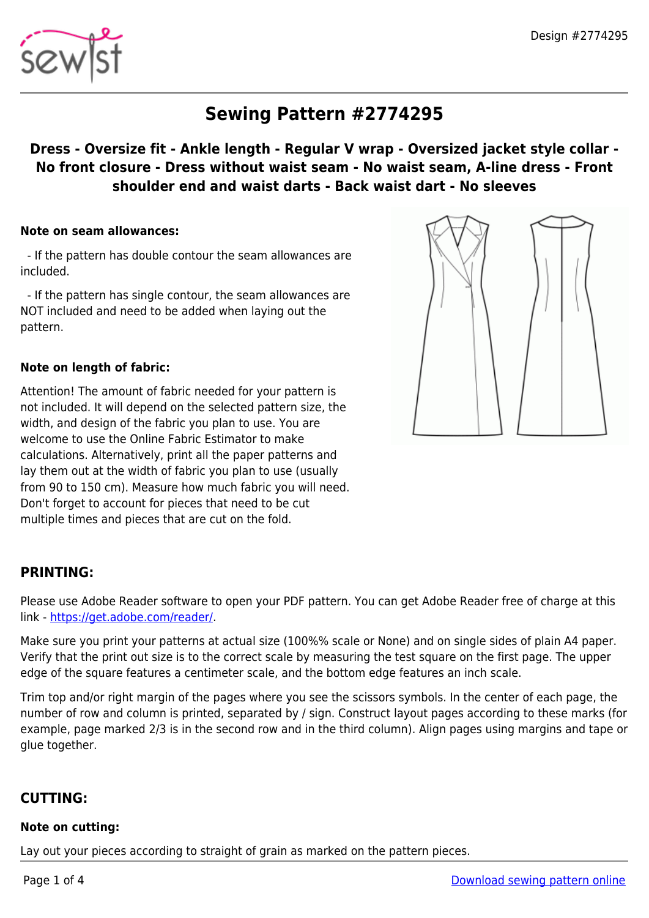

# **Sewing Pattern #2774295**

## **Dress - Oversize fit - Ankle length - Regular V wrap - Oversized jacket style collar - No front closure - Dress without waist seam - No waist seam, A-line dress - Front shoulder end and waist darts - Back waist dart - No sleeves**

#### **Note on seam allowances:**

 - If the pattern has double contour the seam allowances are included.

 - If the pattern has single contour, the seam allowances are NOT included and need to be added when laying out the pattern.

#### **Note on length of fabric:**

Attention! The amount of fabric needed for your pattern is not included. It will depend on the selected pattern size, the width, and design of the fabric you plan to use. You are welcome to use the Online Fabric Estimator to make calculations. Alternatively, print all the paper patterns and lay them out at the width of fabric you plan to use (usually from 90 to 150 cm). Measure how much fabric you will need. Don't forget to account for pieces that need to be cut multiple times and pieces that are cut on the fold.

## **PRINTING:**

Please use Adobe Reader software to open your PDF pattern. You can get Adobe Reader free of charge at this link -<https://get.adobe.com/reader/>.

Make sure you print your patterns at actual size (100%% scale or None) and on single sides of plain A4 paper. Verify that the print out size is to the correct scale by measuring the test square on the first page. The upper edge of the square features a centimeter scale, and the bottom edge features an inch scale.

Trim top and/or right margin of the pages where you see the scissors symbols. In the center of each page, the number of row and column is printed, separated by / sign. Construct layout pages according to these marks (for example, page marked 2/3 is in the second row and in the third column). Align pages using margins and tape or glue together.

## **CUTTING:**

#### **Note on cutting:**

Lay out your pieces according to straight of grain as marked on the pattern pieces.

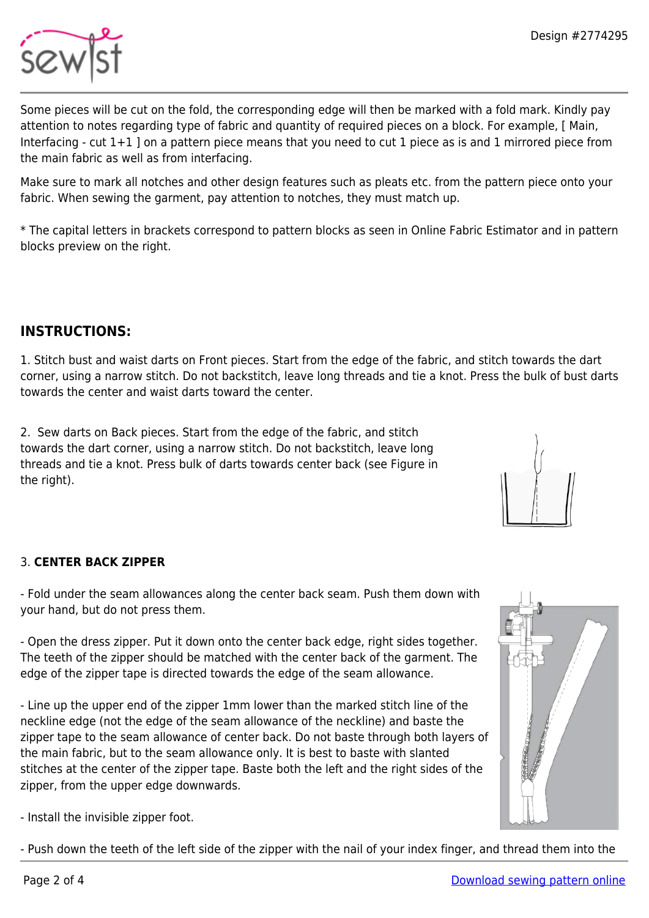

Some pieces will be cut on the fold, the corresponding edge will then be marked with a fold mark. Kindly pay attention to notes regarding type of fabric and quantity of required pieces on a block. For example, [ Main, Interfacing - cut 1+1 ] on a pattern piece means that you need to cut 1 piece as is and 1 mirrored piece from the main fabric as well as from interfacing.

Make sure to mark all notches and other design features such as pleats etc. from the pattern piece onto your fabric. When sewing the garment, pay attention to notches, they must match up.

\* The capital letters in brackets correspond to pattern blocks as seen in Online Fabric Estimator and in pattern blocks preview on the right.

## **INSTRUCTIONS:**

1. Stitch bust and waist darts on Front pieces. Start from the edge of the fabric, and stitch towards the dart corner, using a narrow stitch. Do not backstitch, leave long threads and tie a knot. Press the bulk of bust darts towards the center and waist darts toward the center.

2. Sew darts on Back pieces. Start from the edge of the fabric, and stitch towards the dart corner, using a narrow stitch. Do not backstitch, leave long threads and tie a knot. Press bulk of darts towards center back (see Figure in the right).



#### 3. **CENTER BACK ZIPPER**

- Fold under the seam allowances along the center back seam. Push them down with your hand, but do not press them.

- Open the dress zipper. Put it down onto the center back edge, right sides together. The teeth of the zipper should be matched with the center back of the garment. The edge of the zipper tape is directed towards the edge of the seam allowance.

- Line up the upper end of the zipper 1mm lower than the marked stitch line of the neckline edge (not the edge of the seam allowance of the neckline) and baste the zipper tape to the seam allowance of center back. Do not baste through both layers of the main fabric, but to the seam allowance only. It is best to baste with slanted stitches at the center of the zipper tape. Baste both the left and the right sides of the zipper, from the upper edge downwards.

- Install the invisible zipper foot.

- Push down the teeth of the left side of the zipper with the nail of your index finger, and thread them into the

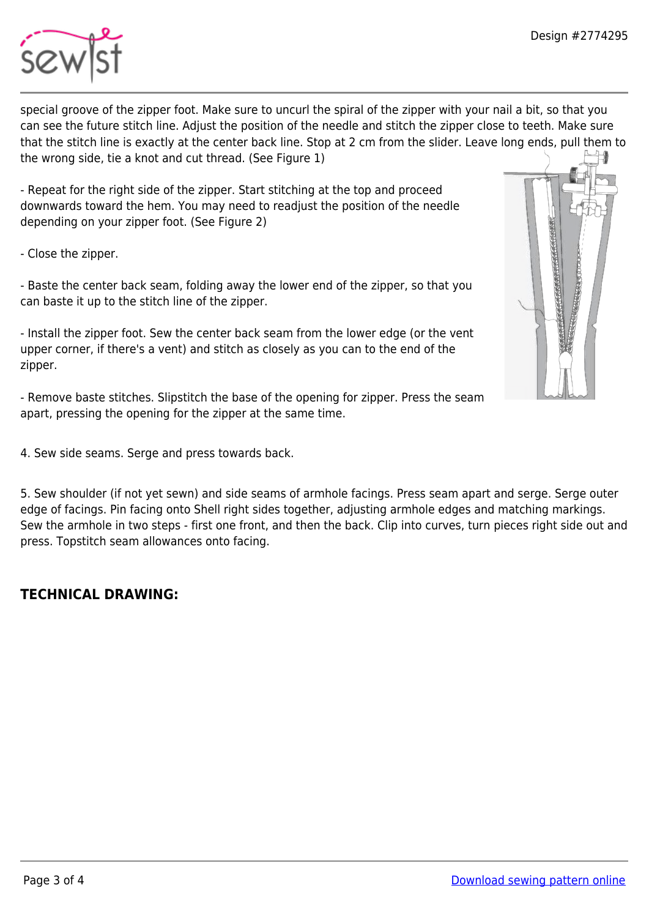

special groove of the zipper foot. Make sure to uncurl the spiral of the zipper with your nail a bit, so that you can see the future stitch line. Adjust the position of the needle and stitch the zipper close to teeth. Make sure that the stitch line is exactly at the center back line. Stop at 2 cm from the slider. Leave long ends, pull them to the wrong side, tie a knot and cut thread. (See Figure 1)

- Repeat for the right side of the zipper. Start stitching at the top and proceed downwards toward the hem. You may need to readjust the position of the needle depending on your zipper foot. (See Figure 2)

- Close the zipper.

- Baste the center back seam, folding away the lower end of the zipper, so that you can baste it up to the stitch line of the zipper.

- Install the zipper foot. Sew the center back seam from the lower edge (or the vent upper corner, if there's a vent) and stitch as closely as you can to the end of the zipper.

- Remove baste stitches. Slipstitch the base of the opening for zipper. Press the seam apart, pressing the opening for the zipper at the same time.

4. Sew side seams. Serge and press towards back.

5. Sew shoulder (if not yet sewn) and side seams of armhole facings. Press seam apart and serge. Serge outer edge of facings. Pin facing onto Shell right sides together, adjusting armhole edges and matching markings. Sew the armhole in two steps - first one front, and then the back. Clip into curves, turn pieces right side out and press. Topstitch seam allowances onto facing.

## **TECHNICAL DRAWING:**